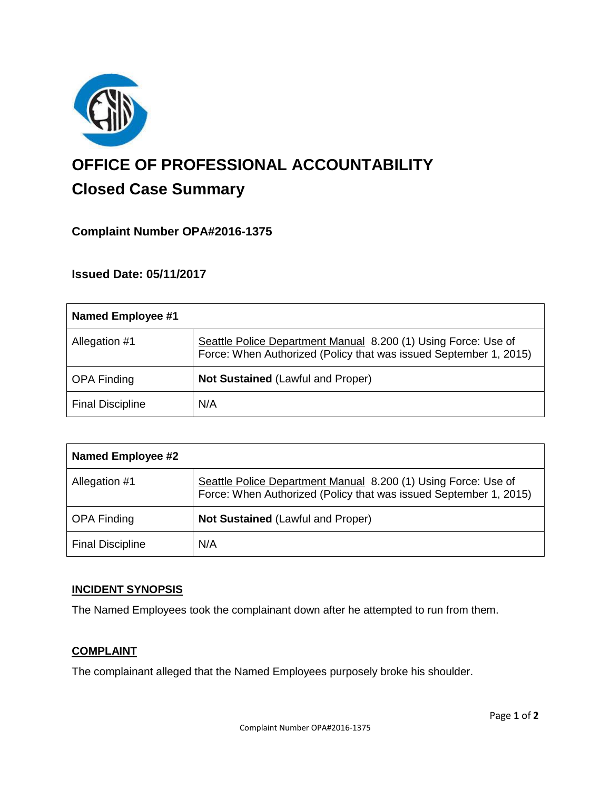

# **OFFICE OF PROFESSIONAL ACCOUNTABILITY Closed Case Summary**

# **Complaint Number OPA#2016-1375**

## **Issued Date: 05/11/2017**

| Named Employee #1       |                                                                                                                                     |
|-------------------------|-------------------------------------------------------------------------------------------------------------------------------------|
| Allegation #1           | Seattle Police Department Manual 8.200 (1) Using Force: Use of<br>Force: When Authorized (Policy that was issued September 1, 2015) |
| <b>OPA Finding</b>      | <b>Not Sustained (Lawful and Proper)</b>                                                                                            |
| <b>Final Discipline</b> | N/A                                                                                                                                 |

| Named Employee #2       |                                                                                                                                     |
|-------------------------|-------------------------------------------------------------------------------------------------------------------------------------|
| Allegation #1           | Seattle Police Department Manual 8.200 (1) Using Force: Use of<br>Force: When Authorized (Policy that was issued September 1, 2015) |
| <b>OPA Finding</b>      | <b>Not Sustained (Lawful and Proper)</b>                                                                                            |
| <b>Final Discipline</b> | N/A                                                                                                                                 |

## **INCIDENT SYNOPSIS**

The Named Employees took the complainant down after he attempted to run from them.

#### **COMPLAINT**

The complainant alleged that the Named Employees purposely broke his shoulder.